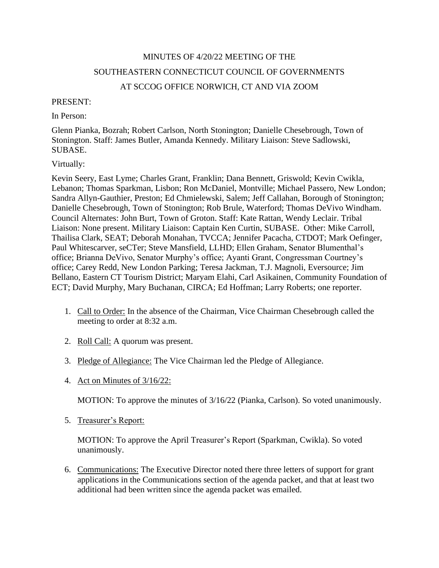# MINUTES OF 4/20/22 MEETING OF THE SOUTHEASTERN CONNECTICUT COUNCIL OF GOVERNMENTS AT SCCOG OFFICE NORWICH, CT AND VIA ZOOM

#### PRESENT:

In Person:

Glenn Pianka, Bozrah; Robert Carlson, North Stonington; Danielle Chesebrough, Town of Stonington. Staff: James Butler, Amanda Kennedy. Military Liaison: Steve Sadlowski, SUBASE.

## Virtually:

Kevin Seery, East Lyme; Charles Grant, Franklin; Dana Bennett, Griswold; Kevin Cwikla, Lebanon; Thomas Sparkman, Lisbon; Ron McDaniel, Montville; Michael Passero, New London; Sandra Allyn-Gauthier, Preston; Ed Chmielewski, Salem; Jeff Callahan, Borough of Stonington; Danielle Chesebrough, Town of Stonington; Rob Brule, Waterford; Thomas DeVivo Windham. Council Alternates: John Burt, Town of Groton. Staff: Kate Rattan, Wendy Leclair. Tribal Liaison: None present. Military Liaison: Captain Ken Curtin, SUBASE. Other: Mike Carroll, Thailisa Clark, SEAT; Deborah Monahan, TVCCA; Jennifer Pacacha, CTDOT; Mark Oefinger, Paul Whitescarver, seCTer; Steve Mansfield, LLHD; Ellen Graham, Senator Blumenthal's office; Brianna DeVivo, Senator Murphy's office; Ayanti Grant, Congressman Courtney's office; Carey Redd, New London Parking; Teresa Jackman, T.J. Magnoli, Eversource; Jim Bellano, Eastern CT Tourism District; Maryam Elahi, Carl Asikainen, Community Foundation of ECT; David Murphy, Mary Buchanan, CIRCA; Ed Hoffman; Larry Roberts; one reporter.

- 1. Call to Order: In the absence of the Chairman, Vice Chairman Chesebrough called the meeting to order at 8:32 a.m.
- 2. Roll Call: A quorum was present.
- 3. Pledge of Allegiance: The Vice Chairman led the Pledge of Allegiance.
- 4. Act on Minutes of 3/16/22:

MOTION: To approve the minutes of 3/16/22 (Pianka, Carlson). So voted unanimously.

5. Treasurer's Report:

MOTION: To approve the April Treasurer's Report (Sparkman, Cwikla). So voted unanimously.

6. Communications: The Executive Director noted there three letters of support for grant applications in the Communications section of the agenda packet, and that at least two additional had been written since the agenda packet was emailed.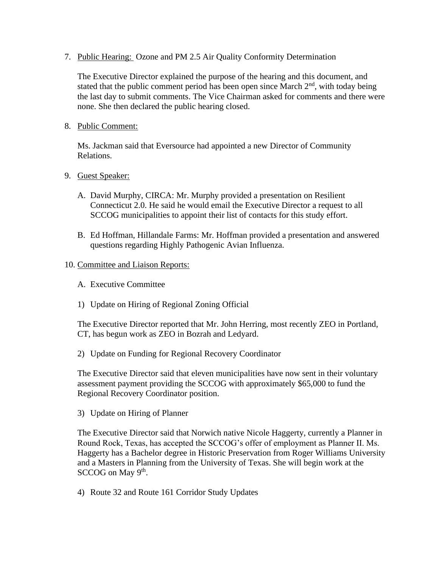7. Public Hearing: Ozone and PM 2.5 Air Quality Conformity Determination

The Executive Director explained the purpose of the hearing and this document, and stated that the public comment period has been open since March  $2<sup>nd</sup>$ , with today being the last day to submit comments. The Vice Chairman asked for comments and there were none. She then declared the public hearing closed.

8. Public Comment:

Ms. Jackman said that Eversource had appointed a new Director of Community Relations.

- 9. Guest Speaker:
	- A. David Murphy, CIRCA: Mr. Murphy provided a presentation on Resilient Connecticut 2.0. He said he would email the Executive Director a request to all SCCOG municipalities to appoint their list of contacts for this study effort.
	- B. Ed Hoffman, Hillandale Farms: Mr. Hoffman provided a presentation and answered questions regarding Highly Pathogenic Avian Influenza.

#### 10. Committee and Liaison Reports:

- A. Executive Committee
- 1) Update on Hiring of Regional Zoning Official

The Executive Director reported that Mr. John Herring, most recently ZEO in Portland, CT, has begun work as ZEO in Bozrah and Ledyard.

2) Update on Funding for Regional Recovery Coordinator

The Executive Director said that eleven municipalities have now sent in their voluntary assessment payment providing the SCCOG with approximately \$65,000 to fund the Regional Recovery Coordinator position.

3) Update on Hiring of Planner

The Executive Director said that Norwich native Nicole Haggerty, currently a Planner in Round Rock, Texas, has accepted the SCCOG's offer of employment as Planner II. Ms. Haggerty has a Bachelor degree in Historic Preservation from Roger Williams University and a Masters in Planning from the University of Texas. She will begin work at the  $SCCOG$  on May  $9<sup>th</sup>$ .

4) Route 32 and Route 161 Corridor Study Updates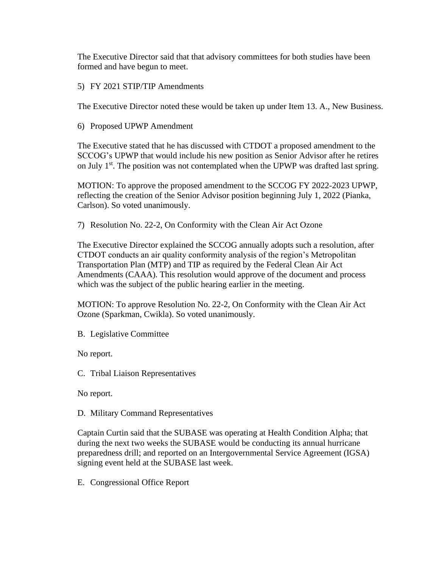The Executive Director said that that advisory committees for both studies have been formed and have begun to meet.

5) FY 2021 STIP/TIP Amendments

The Executive Director noted these would be taken up under Item 13. A., New Business.

6) Proposed UPWP Amendment

The Executive stated that he has discussed with CTDOT a proposed amendment to the SCCOG's UPWP that would include his new position as Senior Advisor after he retires on July  $1<sup>st</sup>$ . The position was not contemplated when the UPWP was drafted last spring.

MOTION: To approve the proposed amendment to the SCCOG FY 2022-2023 UPWP, reflecting the creation of the Senior Advisor position beginning July 1, 2022 (Pianka, Carlson). So voted unanimously.

7) Resolution No. 22-2, On Conformity with the Clean Air Act Ozone

The Executive Director explained the SCCOG annually adopts such a resolution, after CTDOT conducts an air quality conformity analysis of the region's Metropolitan Transportation Plan (MTP) and TIP as required by the Federal Clean Air Act Amendments (CAAA). This resolution would approve of the document and process which was the subject of the public hearing earlier in the meeting.

MOTION: To approve Resolution No. 22-2, On Conformity with the Clean Air Act Ozone (Sparkman, Cwikla). So voted unanimously.

B. Legislative Committee

No report.

C. Tribal Liaison Representatives

No report.

D. Military Command Representatives

Captain Curtin said that the SUBASE was operating at Health Condition Alpha; that during the next two weeks the SUBASE would be conducting its annual hurricane preparedness drill; and reported on an Intergovernmental Service Agreement (IGSA) signing event held at the SUBASE last week.

E. Congressional Office Report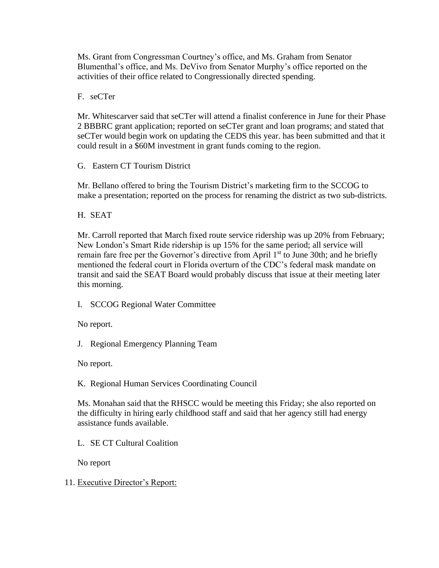Ms. Grant from Congressman Courtney's office, and Ms. Graham from Senator Blumenthal's office, and Ms. DeVivo from Senator Murphy's office reported on the activities of their office related to Congressionally directed spending.

F. seCTer

Mr. Whitescarver said that seCTer will attend a finalist conference in June for their Phase 2 BBBRC grant application; reported on seCTer grant and loan programs; and stated that seCTer would begin work on updating the CEDS this year. has been submitted and that it could result in a \$60M investment in grant funds coming to the region.

G. Eastern CT Tourism District

Mr. Bellano offered to bring the Tourism District's marketing firm to the SCCOG to make a presentation; reported on the process for renaming the district as two sub-districts.

H. SEAT

Mr. Carroll reported that March fixed route service ridership was up 20% from February; New London's Smart Ride ridership is up 15% for the same period; all service will remain fare free per the Governor's directive from April 1<sup>st</sup> to June 30th; and he briefly mentioned the federal court in Florida overturn of the CDC's federal mask mandate on transit and said the SEAT Board would probably discuss that issue at their meeting later this morning.

I. SCCOG Regional Water Committee

No report.

J. Regional Emergency Planning Team

No report.

K. Regional Human Services Coordinating Council

Ms. Monahan said that the RHSCC would be meeting this Friday; she also reported on the difficulty in hiring early childhood staff and said that her agency still had energy assistance funds available.

L. SE CT Cultural Coalition

No report

## 11. Executive Director's Report: